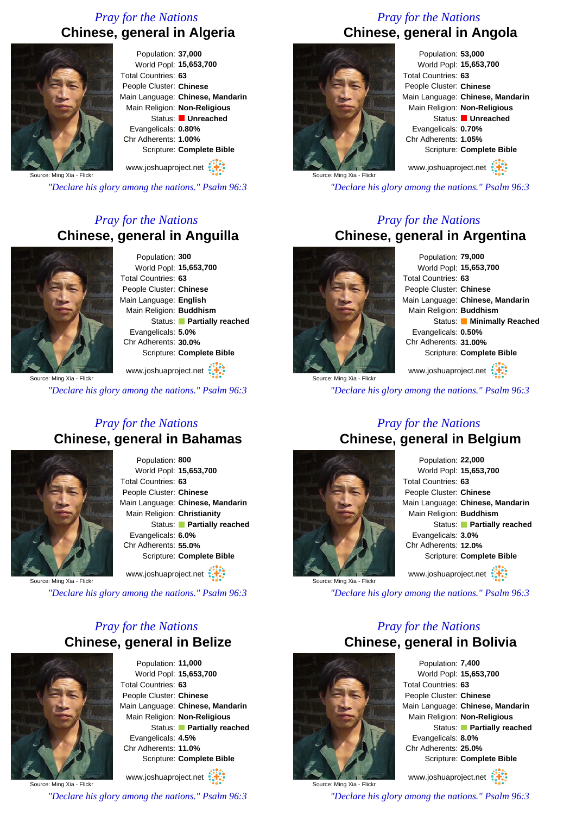#### *Pray for the Nations* **Chinese, general in Algeria**



Population: **37,000** World Popl: **15,653,700** Total Countries: **63** People Cluster: **Chinese** Main Language: **Chinese, Mandarin** Main Religion: **Non-Religious** Status: **Unreached** Evangelicals: **0.80%** Chr Adherents: **1.00%** Scripture: **Complete Bible**

www.joshuaproject.net

Source: Ming Xia - Flick

*"Declare his glory among the nations." Psalm 96:3*

#### *Pray for the Nations* **Chinese, general in Anguilla**



Population: **300** World Popl: **15,653,700** Total Countries: **63** People Cluster: **Chinese** Main Language: **English** Main Religion: **Buddhism** Status: **Partially reached** Evangelicals: **5.0%** Chr Adherents: **30.0%** Scripture: **Complete Bible**

www.joshuaproject.net

*"Declare his glory among the nations." Psalm 96:3*

#### *Pray for the Nations* **Chinese, general in Bahamas**



Population: **800** World Popl: **15,653,700** Total Countries: **63** People Cluster: **Chinese** Main Language: **Chinese, Mandarin** Main Religion: **Christianity** Status: **Partially reached** Evangelicals: **6.0%** Chr Adherents: **55.0%** Scripture: **Complete Bible**

www.joshuaproject.net

Source: Ming Xia - Flick

*"Declare his glory among the nations." Psalm 96:3*

#### *Pray for the Nations* **Chinese, general in Belize**



Population: **11,000** World Popl: **15,653,700** Total Countries: **63** People Cluster: **Chinese** Main Language: **Chinese, Mandarin** Main Religion: **Non-Religious** Status: **Partially reached** Evangelicals: **4.5%** Chr Adherents: **11.0%** Scripture: **Complete Bible**

Source: Ming Xia - Flickr www.joshuaproject.net *"Declare his glory among the nations." Psalm 96:3*

#### *Pray for the Nations* **Chinese, general in Angola**



Population: **53,000** World Popl: **15,653,700** Total Countries: **63** People Cluster: **Chinese** Main Language: **Chinese, Mandarin** Main Religion: **Non-Religious** Status: **Unreached** Evangelicals: **0.70%** Chr Adherents: **1.05%** Scripture: **Complete Bible** www.joshuaproject.net

Source: Ming Xia - Flickr

*"Declare his glory among the nations." Psalm 96:3*

#### *Pray for the Nations* **Chinese, general in Argentina**



Source: Ming Xia - Flickr

Population: **79,000** World Popl: **15,653,700** Total Countries: **63** People Cluster: **Chinese** Main Language: **Chinese, Mandarin** Main Religion: **Buddhism** Status: **Minimally Reached** Evangelicals: **0.50%** Chr Adherents: **31.00%** Scripture: **Complete Bible**

www.joshuaproject.net

*"Declare his glory among the nations." Psalm 96:3*

#### **Chinese, general in Belgium**



Population: **22,000** World Popl: **15,653,700** Total Countries: **63** People Cluster: **Chinese** Main Language: **Chinese, Mandarin** Main Religion: **Buddhism** Status: **Partially reached** Evangelicals: **3.0%** Chr Adherents: **12.0%** Scripture: **Complete Bible** www.joshuaproject.net

*"Declare his glory among the nations." Psalm 96:3*

#### *Pray for the Nations* **Chinese, general in Bolivia**



Source: Ming Xia - Flickr

Population: **7,400** World Popl: **15,653,700** Total Countries: **63** People Cluster: **Chinese** Main Language: **Chinese, Mandarin** Main Religion: **Non-Religious** Status: **Partially reached** Evangelicals: **8.0%** Chr Adherents: **25.0%** Scripture: **Complete Bible**

www.joshuaproject.net

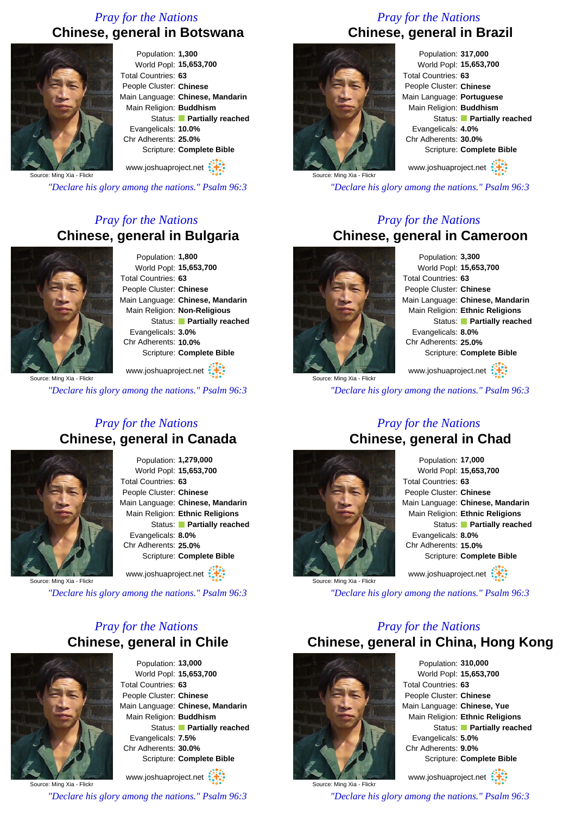#### *Pray for the Nations* **Chinese, general in Botswana**



Population: **1,300** World Popl: **15,653,700** Total Countries: **63** People Cluster: **Chinese** Main Language: **Chinese, Mandarin** Main Religion: **Buddhism** Status: **Partially reached** Evangelicals: **10.0%** Chr Adherents: **25.0%** Scripture: **Complete Bible**

www.joshuaproject.net

Source: Ming Xia - Flick

*"Declare his glory among the nations." Psalm 96:3*

#### *Pray for the Nations* **Chinese, general in Bulgaria**



Population: **1,800** World Popl: **15,653,700** Total Countries: **63** People Cluster: **Chinese** Main Language: **Chinese, Mandarin** Main Religion: **Non-Religious** Status: **Partially reached** Evangelicals: **3.0%** Chr Adherents: **10.0%** Scripture: **Complete Bible**

www.joshuaproject.net :

*"Declare his glory among the nations." Psalm 96:3*

#### *Pray for the Nations* **Chinese, general in Canada**



Population: **1,279,000** World Popl: **15,653,700** Total Countries: **63** People Cluster: **Chinese** Main Language: **Chinese, Mandarin** Main Religion: **Ethnic Religions** Status: **Partially reached** Evangelicals: **8.0%** Chr Adherents: **25.0%** Scripture: **Complete Bible** www.joshuaproject.net

Source: Ming Xia - Flick

*"Declare his glory among the nations." Psalm 96:3*

#### *Pray for the Nations* **Chinese, general in Chile**



Population: **13,000** World Popl: **15,653,700** Total Countries: **63** People Cluster: **Chinese** Main Language: **Chinese, Mandarin** Main Religion: **Buddhism** Status: **Partially reached** Evangelicals: **7.5%** Chr Adherents: **30.0%** Scripture: **Complete Bible**

Source: Ming Xia - Flickr www.joshuaproject.net *"Declare his glory among the nations." Psalm 96:3*

#### *Pray for the Nations* **Chinese, general in Brazil**



Population: **317,000** World Popl: **15,653,700** Total Countries: **63** People Cluster: **Chinese** Main Language: **Portuguese** Main Religion: **Buddhism** Status: **Partially reached** Evangelicals: **4.0%** Chr Adherents: **30.0%** Scripture: **Complete Bible** www.joshuaproject.net

*"Declare his glory among the nations." Psalm 96:3*

#### *Pray for the Nations* **Chinese, general in Cameroon**



Source: Ming Xia - Flickr

Population: **3,300** World Popl: **15,653,700** Total Countries: **63** People Cluster: **Chinese** Main Language: **Chinese, Mandarin** Main Religion: **Ethnic Religions** Status: **Partially reached** Evangelicals: **8.0%** Chr Adherents: **25.0%** Scripture: **Complete Bible**

www.joshuaproject.net

*"Declare his glory among the nations." Psalm 96:3*

*Pray for the Nations*

## **Chinese, general in Chad** Source: Ming Xia - Flickr

#### Population: **17,000** World Popl: **15,653,700** Total Countries: **63** People Cluster: **Chinese** Main Language: **Chinese, Mandarin** Main Religion: **Ethnic Religions** Status: **Partially reached** Evangelicals: **8.0%** Chr Adherents: **15.0%** Scripture: **Complete Bible** www.joshuaproject.net :

*"Declare his glory among the nations." Psalm 96:3*

#### *Pray for the Nations* **Chinese, general in China, Hong Kong**



Source: Ming Xia - Flickr

Population: **310,000** World Popl: **15,653,700** Total Countries: **63** People Cluster: **Chinese** Main Language: **Chinese, Yue** Main Religion: **Ethnic Religions** Status: **Partially reached** Evangelicals: **5.0%** Chr Adherents: **9.0%** Scripture: **Complete Bible**

www.joshuaproject.net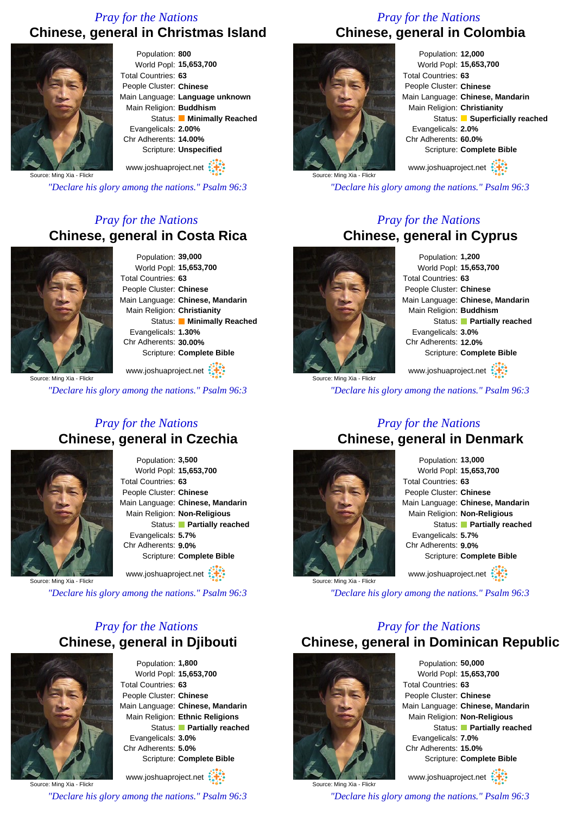#### *Pray for the Nations* **Chinese, general in Christmas Island**



Population: **800** World Popl: **15,653,700** Total Countries: **63** People Cluster: **Chinese** Main Language: **Language unknown** Main Religion: **Buddhism** Status: **Minimally Reached** Evangelicals: **2.00%** Chr Adherents: **14.00%** Scripture: **Unspecified**

www.joshuaproject.net

Source: Ming Xia - Flick

*"Declare his glory among the nations." Psalm 96:3*

#### *Pray for the Nations* **Chinese, general in Costa Rica**



Population: **39,000** World Popl: **15,653,700** Total Countries: **63** People Cluster: **Chinese** Main Language: **Chinese, Mandarin** Main Religion: **Christianity** Status: **Minimally Reached** Evangelicals: **1.30%** Chr Adherents: **30.00%** Scripture: **Complete Bible**

www.joshuaproject.net

*"Declare his glory among the nations." Psalm 96:3*

#### *Pray for the Nations* **Chinese, general in Czechia**



Population: **3,500** World Popl: **15,653,700** Total Countries: **63** People Cluster: **Chinese** Main Language: **Chinese, Mandarin** Main Religion: **Non-Religious** Status: **Partially reached** Evangelicals: **5.7%** Chr Adherents: **9.0%** Scripture: **Complete Bible**

www.joshuaproject.net

Source: Ming Xia - Flick

*"Declare his glory among the nations." Psalm 96:3*

#### *Pray for the Nations* **Chinese, general in Djibouti**



Population: **1,800** World Popl: **15,653,700** Total Countries: **63** People Cluster: **Chinese** Main Language: **Chinese, Mandarin** Main Religion: **Ethnic Religions** Status: **Partially reached** Evangelicals: **3.0%** Chr Adherents: **5.0%** Scripture: **Complete Bible**

Source: Ming Xia - Flickr www.joshuaproject.net *"Declare his glory among the nations." Psalm 96:3*

#### *Pray for the Nations* **Chinese, general in Colombia**



Population: **12,000** World Popl: **15,653,700** Total Countries: **63** People Cluster: **Chinese** Main Language: **Chinese, Mandarin** Main Religion: **Christianity** Status: **Superficially reached** Evangelicals: **2.0%** Chr Adherents: **60.0%** Scripture: **Complete Bible** www.joshuaproject.net

*"Declare his glory among the nations." Psalm 96:3*

#### *Pray for the Nations* **Chinese, general in Cyprus**



Population: **1,200** World Popl: **15,653,700** Total Countries: **63** People Cluster: **Chinese** Main Language: **Chinese, Mandarin** Main Religion: **Buddhism** Status: **Partially reached** Evangelicals: **3.0%** Chr Adherents: **12.0%** Scripture: **Complete Bible** www.joshuaproject.net

Source: Ming Xia - Flickr

*"Declare his glory among the nations." Psalm 96:3*

#### **Chinese, general in Denmark**



Population: **13,000** World Popl: **15,653,700** Total Countries: **63** People Cluster: **Chinese** Main Language: **Chinese, Mandarin** Main Religion: **Non-Religious** Status: **Partially reached** Evangelicals: **5.7%** Chr Adherents: **9.0%** Scripture: **Complete Bible** www.joshuaproject.net

*"Declare his glory among the nations." Psalm 96:3*

#### *Pray for the Nations* **Chinese, general in Dominican Republic**



Source: Ming Xia - Flickr

Population: **50,000** World Popl: **15,653,700** Total Countries: **63** People Cluster: **Chinese** Main Language: **Chinese, Mandarin** Main Religion: **Non-Religious** Status: **Partially reached** Evangelicals: **7.0%** Chr Adherents: **15.0%** Scripture: **Complete Bible**

www.joshuaproject.net

*"Declare his glory among the nations." Psalm 96:3*

*Pray for the Nations*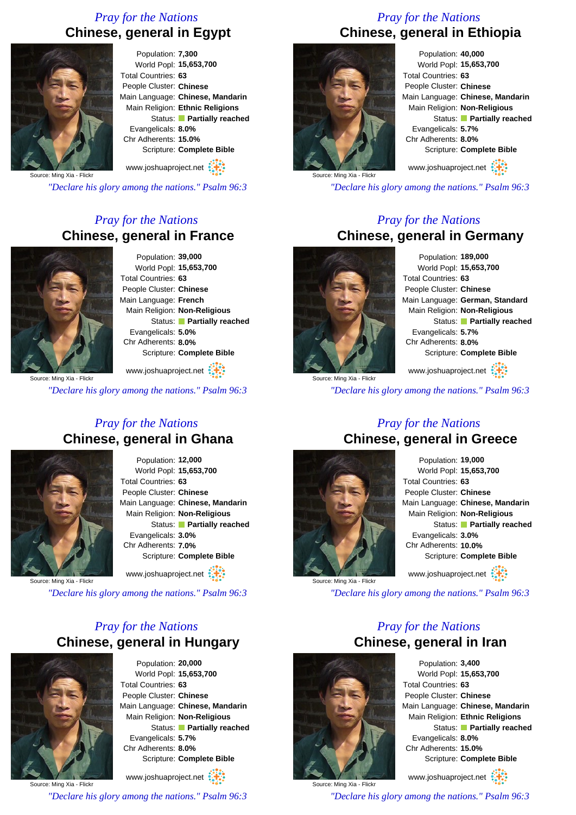#### *Pray for the Nations* **Chinese, general in Egypt**



Population: **7,300** World Popl: **15,653,700** Total Countries: **63** People Cluster: **Chinese** Main Language: **Chinese, Mandarin** Main Religion: **Ethnic Religions** Status: **Partially reached** Evangelicals: **8.0%** Chr Adherents: **15.0%** Scripture: **Complete Bible**

www.joshuaproject.net

Source: Ming Xia - Flick

*"Declare his glory among the nations." Psalm 96:3*

#### *Pray for the Nations* **Chinese, general in France**



Population: **39,000** World Popl: **15,653,700** Total Countries: **63** People Cluster: **Chinese** Main Language: **French** Main Religion: **Non-Religious** Status: **Partially reached** Evangelicals: **5.0%** Chr Adherents: **8.0%** Scripture: **Complete Bible**

www.joshuaproject.net :

*"Declare his glory among the nations." Psalm 96:3*

#### *Pray for the Nations* **Chinese, general in Ghana**



Population: **12,000** World Popl: **15,653,700** Total Countries: **63** People Cluster: **Chinese** Main Language: **Chinese, Mandarin** Main Religion: **Non-Religious** Status: **Partially reached** Evangelicals: **3.0%** Chr Adherents: **7.0%** Scripture: **Complete Bible**

www.joshuaproject.net

Source: Ming Xia - Flick

*"Declare his glory among the nations." Psalm 96:3*

#### *Pray for the Nations* **Chinese, general in Hungary**



Population: **20,000** World Popl: **15,653,700** Total Countries: **63** People Cluster: **Chinese** Main Language: **Chinese, Mandarin** Main Religion: **Non-Religious** Status: **Partially reached** Evangelicals: **5.7%** Chr Adherents: **8.0%** Scripture: **Complete Bible**

Source: Ming Xia - Flickr www.joshuaproject.net *"Declare his glory among the nations." Psalm 96:3*

#### *Pray for the Nations* **Chinese, general in Ethiopia**



Population: **40,000** World Popl: **15,653,700** Total Countries: **63** People Cluster: **Chinese** Main Language: **Chinese, Mandarin** Main Religion: **Non-Religious** Status: **Partially reached** Evangelicals: **5.7%** Chr Adherents: **8.0%** Scripture: **Complete Bible** www.joshuaproject.net

*"Declare his glory among the nations." Psalm 96:3*

#### *Pray for the Nations* **Chinese, general in Germany**



Population: **189,000** World Popl: **15,653,700** Total Countries: **63** People Cluster: **Chinese** Main Language: **German, Standard** Main Religion: **Non-Religious** Status: **Partially reached** Evangelicals: **5.7%** Chr Adherents: **8.0%** Scripture: **Complete Bible**

*"Declare his glory among the nations." Psalm 96:3*

#### **Chinese, general in Greece** Population: **19,000** World Popl: **15,653,700** Total Countries: **63**

People Cluster: **Chinese** Main Language: **Chinese, Mandarin** Main Religion: **Non-Religious** Status: **Partially reached** Evangelicals: **3.0%** Chr Adherents: **10.0%** Scripture: **Complete Bible** www.joshuaproject.net

Source: Ming Xia - Flickr

*"Declare his glory among the nations." Psalm 96:3*

#### *Pray for the Nations* **Chinese, general in Iran**



Source: Ming Xia - Flickr

Population: **3,400** World Popl: **15,653,700** Total Countries: **63** People Cluster: **Chinese** Main Language: **Chinese, Mandarin** Main Religion: **Ethnic Religions** Status: **Partially reached** Evangelicals: **8.0%** Chr Adherents: **15.0%** Scripture: **Complete Bible**

www.joshuaproject.net

*"Declare his glory among the nations." Psalm 96:3*



www.joshuaproject.net *Pray for the Nations*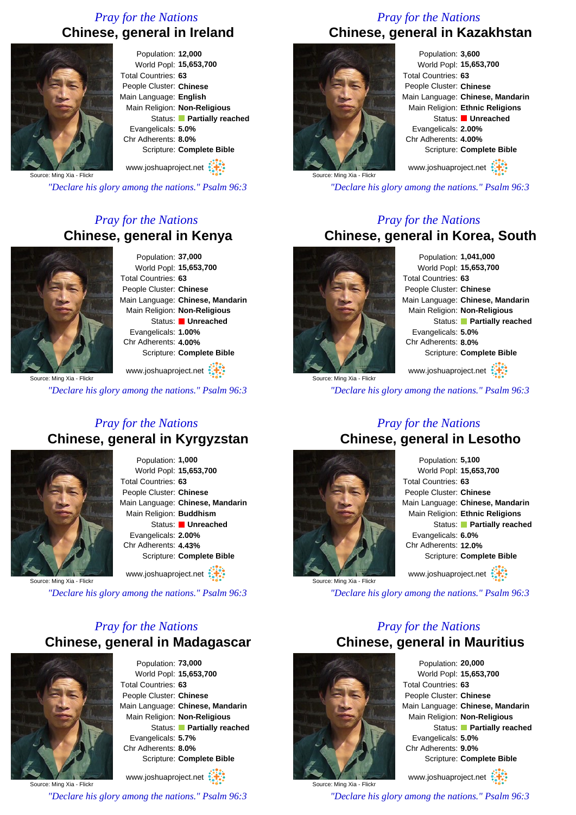#### *Pray for the Nations* **Chinese, general in Ireland**



Population: **12,000** World Popl: **15,653,700** Total Countries: **63** People Cluster: **Chinese** Main Language: **English** Main Religion: **Non-Religious** Status: **Partially reached** Evangelicals: **5.0%** Chr Adherents: **8.0%** Scripture: **Complete Bible**

www.joshuaproject.net

Source: Ming Xia - Flick

*"Declare his glory among the nations." Psalm 96:3*

#### *Pray for the Nations* **Chinese, general in Kenya**



Population: **37,000** World Popl: **15,653,700** Total Countries: **63** People Cluster: **Chinese** Main Language: **Chinese, Mandarin** Main Religion: **Non-Religious** Status: **Unreached** Evangelicals: **1.00%** Chr Adherents: **4.00%** Scripture: **Complete Bible**

www.joshuaproject.net

*"Declare his glory among the nations." Psalm 96:3*

#### *Pray for the Nations* **Chinese, general in Kyrgyzstan**



Population: **1,000** World Popl: **15,653,700** Total Countries: **63** People Cluster: **Chinese** Main Language: **Chinese, Mandarin** Main Religion: **Buddhism** Status: **Unreached** Evangelicals: **2.00%** Chr Adherents: **4.43%** Scripture: **Complete Bible**

www.joshuaproject.net

Source: Ming Xia - Flick

*"Declare his glory among the nations." Psalm 96:3*

#### *Pray for the Nations* **Chinese, general in Madagascar**



Population: **73,000** World Popl: **15,653,700** Total Countries: **63** People Cluster: **Chinese** Main Language: **Chinese, Mandarin** Main Religion: **Non-Religious** Status: **Partially reached** Evangelicals: **5.7%** Chr Adherents: **8.0%** Scripture: **Complete Bible**

Source: Ming Xia - Flickr www.joshuaproject.net *"Declare his glory among the nations." Psalm 96:3*

#### *Pray for the Nations* **Chinese, general in Kazakhstan**



Population: **3,600** World Popl: **15,653,700** Total Countries: **63** People Cluster: **Chinese** Main Language: **Chinese, Mandarin** Main Religion: **Ethnic Religions** Status: **Unreached** Evangelicals: **2.00%** Chr Adherents: **4.00%** Scripture: **Complete Bible** www.joshuaproject.net

Source: Ming Xia - Flickr

*"Declare his glory among the nations." Psalm 96:3*

#### *Pray for the Nations* **Chinese, general in Korea, South**



Source: Ming Xia - Flickr

Population: **1,041,000** World Popl: **15,653,700** Total Countries: **63** People Cluster: **Chinese** Main Language: **Chinese, Mandarin** Main Religion: **Non-Religious** Status: **Partially reached** Evangelicals: **5.0%** Chr Adherents: **8.0%** Scripture: **Complete Bible** www.joshuaproject.net

*"Declare his glory among the nations." Psalm 96:3*

#### *Pray for the Nations* **Chinese, general in Lesotho**



Population: **5,100** World Popl: **15,653,700** Total Countries: **63** People Cluster: **Chinese** Main Language: **Chinese, Mandarin** Main Religion: **Ethnic Religions** Status: **Partially reached** Evangelicals: **6.0%** Chr Adherents: **12.0%** Scripture: **Complete Bible** www.joshuaproject.net

*"Declare his glory among the nations." Psalm 96:3*

#### *Pray for the Nations* **Chinese, general in Mauritius**



Population: **20,000** World Popl: **15,653,700** Total Countries: **63** People Cluster: **Chinese** Main Language: **Chinese, Mandarin** Main Religion: **Non-Religious** Status: **Partially reached** Evangelicals: **5.0%** Chr Adherents: **9.0%** Scripture: **Complete Bible** www.joshuaproject.net

Source: Ming Xia - Flickr *"Declare his glory among the nations." Psalm 96:3*

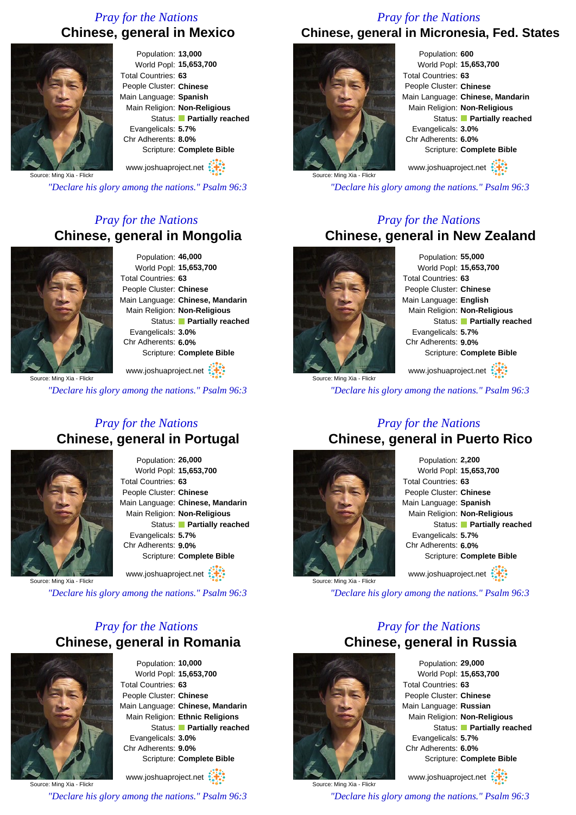#### *Pray for the Nations* **Chinese, general in Mexico**



Population: **13,000** World Popl: **15,653,700** Total Countries: **63** People Cluster: **Chinese** Main Language: **Spanish** Main Religion: **Non-Religious** Status: **Partially reached** Evangelicals: **5.7%** Chr Adherents: **8.0%** Scripture: **Complete Bible**

www.joshuaproject.net

Source: Ming Xia - Flick

*"Declare his glory among the nations." Psalm 96:3*

#### *Pray for the Nations* **Chinese, general in Mongolia**



Population: **46,000** World Popl: **15,653,700** Total Countries: **63** People Cluster: **Chinese** Main Language: **Chinese, Mandarin** Main Religion: **Non-Religious** Status: **Partially reached** Evangelicals: **3.0%** Chr Adherents: **6.0%** Scripture: **Complete Bible**

www.joshuaproject.net

*"Declare his glory among the nations." Psalm 96:3*

#### *Pray for the Nations* **Chinese, general in Portugal**



Population: **26,000** World Popl: **15,653,700** Total Countries: **63** People Cluster: **Chinese** Main Language: **Chinese, Mandarin** Main Religion: **Non-Religious** Status: **Partially reached** Evangelicals: **5.7%** Chr Adherents: **9.0%** Scripture: **Complete Bible**

www.joshuaproject.net

Source: Ming Xia - Flick

*"Declare his glory among the nations." Psalm 96:3*

#### *Pray for the Nations* **Chinese, general in Romania**



Population: **10,000** World Popl: **15,653,700** Total Countries: **63** People Cluster: **Chinese** Main Language: **Chinese, Mandarin** Main Religion: **Ethnic Religions** Status: **Partially reached** Evangelicals: **3.0%** Chr Adherents: **9.0%** Scripture: **Complete Bible**

Source: Ming Xia - Flickr www.joshuaproject.net *"Declare his glory among the nations." Psalm 96:3*

#### *Pray for the Nations* **Chinese, general in Micronesia, Fed. States**



Population: **600** World Popl: **15,653,700** Total Countries: **63** People Cluster: **Chinese** Main Language: **Chinese, Mandarin** Main Religion: **Non-Religious** Status: **Partially reached** Evangelicals: **3.0%** Chr Adherents: **6.0%** Scripture: **Complete Bible** www.joshuaproject.net

Source: Ming Xia - Flickr

*"Declare his glory among the nations." Psalm 96:3*

#### *Pray for the Nations* **Chinese, general in New Zealand**



Population: **55,000** World Popl: **15,653,700** Total Countries: **63** People Cluster: **Chinese** Main Language: **English** Main Religion: **Non-Religious** Status: **Partially reached** Evangelicals: **5.7%** Chr Adherents: **9.0%** Scripture: **Complete Bible** www.joshuaproject.net

Source: Ming Xia - Flickr

*"Declare his glory among the nations." Psalm 96:3*

#### *Pray for the Nations* **Chinese, general in Puerto Rico**



Population: **2,200** World Popl: **15,653,700** Total Countries: **63** People Cluster: **Chinese** Main Language: **Spanish** Main Religion: **Non-Religious** Status: **Partially reached** Evangelicals: **5.7%** Chr Adherents: **6.0%** Scripture: **Complete Bible** www.joshuaproject.net

*"Declare his glory among the nations." Psalm 96:3*

#### *Pray for the Nations* **Chinese, general in Russia**



Source: Ming Xia - Flickr

Population: **29,000** World Popl: **15,653,700** Total Countries: **63** People Cluster: **Chinese** Main Language: **Russian** Main Religion: **Non-Religious** Status: **Partially reached** Evangelicals: **5.7%** Chr Adherents: **6.0%** Scripture: **Complete Bible** www.joshuaproject.net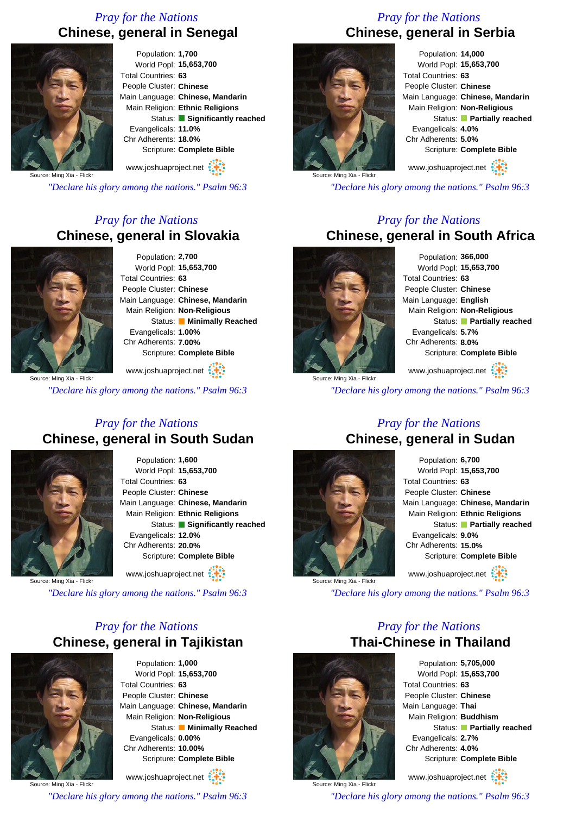#### *Pray for the Nations* **Chinese, general in Senegal**



Population: **1,700** World Popl: **15,653,700** Total Countries: **63** People Cluster: **Chinese** Main Language: **Chinese, Mandarin** Main Religion: **Ethnic Religions** Status: **Significantly reached** Evangelicals: **11.0%** Chr Adherents: **18.0%** Scripture: **Complete Bible**

www.joshuaproject.net

Source: Ming Xia - Flick

*"Declare his glory among the nations." Psalm 96:3*

#### *Pray for the Nations* **Chinese, general in Slovakia**



Population: **2,700** World Popl: **15,653,700** Total Countries: **63** People Cluster: **Chinese** Main Language: **Chinese, Mandarin** Main Religion: **Non-Religious** Status: **Minimally Reached** Evangelicals: **1.00%** Chr Adherents: **7.00%** Scripture: **Complete Bible**

Source: Ming Xia - Flickr www.joshuaproject.net :

*"Declare his glory among the nations." Psalm 96:3*

#### *Pray for the Nations* **Chinese, general in South Sudan**



Population: **1,600** World Popl: **15,653,700** Total Countries: **63** People Cluster: **Chinese** Main Language: **Chinese, Mandarin** Main Religion: **Ethnic Religions** Status: **Significantly reached** Evangelicals: **12.0%** Chr Adherents: **20.0%** Scripture: **Complete Bible**

www.joshuaproject.net

Source: Ming Xia - Flick

*"Declare his glory among the nations." Psalm 96:3*

#### *Pray for the Nations* **Chinese, general in Tajikistan**



Population: **1,000** World Popl: **15,653,700** Total Countries: **63** People Cluster: **Chinese** Main Language: **Chinese, Mandarin** Main Religion: **Non-Religious** Status: **Minimally Reached** Evangelicals: **0.00%** Chr Adherents: **10.00%** Scripture: **Complete Bible**

Source: Ming Xia - Flickr www.joshuaproject.net *"Declare his glory among the nations." Psalm 96:3*

#### *Pray for the Nations* **Chinese, general in Serbia**



Population: **14,000** World Popl: **15,653,700** Total Countries: **63** People Cluster: **Chinese** Main Language: **Chinese, Mandarin** Main Religion: **Non-Religious** Status: **Partially reached** Evangelicals: **4.0%** Chr Adherents: **5.0%** Scripture: **Complete Bible** www.joshuaproject.net

*"Declare his glory among the nations." Psalm 96:3*

#### *Pray for the Nations* **Chinese, general in South Africa**



Population: **366,000** World Popl: **15,653,700** Total Countries: **63** People Cluster: **Chinese** Main Language: **English** Main Religion: **Non-Religious** Status: **Partially reached** Evangelicals: **5.7%** Chr Adherents: **8.0%** Scripture: **Complete Bible** www.joshuaproject.net

Source: Ming Xia - Flickr

*"Declare his glory among the nations." Psalm 96:3*

*Pray for the Nations*

### **Chinese, general in Sudan** Population: **6,700**

World Popl: **15,653,700** Total Countries: **63** People Cluster: **Chinese** Main Language: **Chinese, Mandarin** Main Religion: **Ethnic Religions** Status: **Partially reached** Evangelicals: **9.0%** Chr Adherents: **15.0%** Scripture: **Complete Bible** www.joshuaproject.net

*"Declare his glory among the nations." Psalm 96:3*

*Pray for the Nations*

# **Thai-Chinese in Thailand**

Population: **5,705,000** World Popl: **15,653,700** Total Countries: **63** People Cluster: **Chinese** Main Language: **Thai** Main Religion: **Buddhism** Status: **Partially reached** Evangelicals: **2.7%** Chr Adherents: **4.0%** Scripture: **Complete Bible** www.joshuaproject.net

Source: Ming Xia - Flickr *"Declare his glory among the nations." Psalm 96:3*



Source: Ming Xia - Flickr